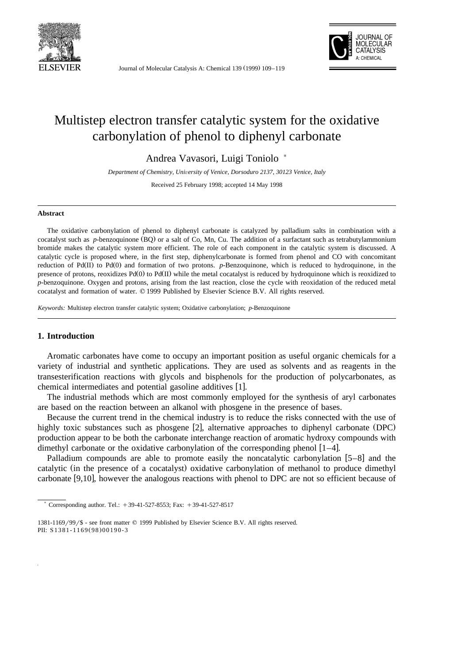

Journal of Molecular Catalysis A: Chemical 139 (1999) 109-119



# Multistep electron transfer catalytic system for the oxidative carbonylation of phenol to diphenyl carbonate

Andrea Vavasori, Luigi Toniolo )

*Department of Chemistry, University of Venice, Dorsoduro 2137, 30123 Venice, Italy* 

Received 25 February 1998; accepted 14 May 1998

#### **Abstract**

The oxidative carbonylation of phenol to diphenyl carbonate is catalyzed by palladium salts in combination with a cocatalyst such as *p*-benzoquinone (BQ) or a salt of Co, Mn, Cu. The addition of a surfactant such as tetrabutylammonium bromide makes the catalytic system more efficient. The role of each component in the catalytic system is discussed. A catalytic cycle is proposed where, in the first step, diphenylcarbonate is formed from phenol and CO with concomitant reduction of  $Pd(II)$  to  $Pd(0)$  and formation of two protons.  $p$ -Benzoquinone, which is reduced to hydroquinone, in the presence of protons, reoxidizes Pd(0) to Pd(II) while the metal cocatalyst is reduced by hydroquinone which is reoxidized to *p*-benzoquinone. Oxygen and protons, arising from the last reaction, close the cycle with reoxidation of the reduced metal cocatalyst and formation of water. © 1999 Published by Elsevier Science B.V. All rights reserved.

*Keywords:* Multistep electron transfer catalytic system; Oxidative carbonylation; *p*-Benzoquinone

## **1. Introduction**

Aromatic carbonates have come to occupy an important position as useful organic chemicals for a variety of industrial and synthetic applications. They are used as solvents and as reagents in the transesterification reactions with glycols and bisphenols for the production of polycarbonates, as chemical intermediates and potential gasoline additives [1].

The industrial methods which are most commonly employed for the synthesis of aryl carbonates are based on the reaction between an alkanol with phosgene in the presence of bases.

Because the current trend in the chemical industry is to reduce the risks connected with the use of highly toxic substances such as phosgene  $[2]$ , alternative approaches to diphenyl carbonate (DPC) production appear to be both the carbonate interchange reaction of aromatic hydroxy compounds with dimethyl carbonate or the oxidative carbonylation of the corresponding phenol  $[1-4]$ .

Palladium compounds are able to promote easily the noncatalytic carbonylation  $[5-8]$  and the catalytic (in the presence of a cocatalyst) oxidative carbonylation of methanol to produce dimethyl carbonate  $[9,10]$ , however the analogous reactions with phenol to DPC are not so efficient because of

Corresponding author. Tel.:  $+39-41-527-8553$ ; Fax:  $+39-41-527-8517$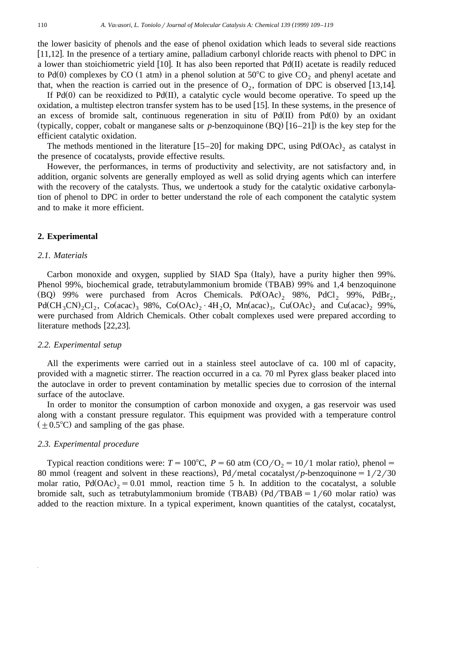the lower basicity of phenols and the ease of phenol oxidation which leads to several side reactions [11,12]. In the presence of a tertiary amine, palladium carbonyl chloride reacts with phenol to DPC in a lower than stoichiometric yield [10]. It has also been reported that  $Pd(II)$  acetate is readily reduced to Pd(0) complexes by CO (1 atm) in a phenol solution at  $50^{\circ}$ C to give CO<sub>2</sub> and phenyl acetate and that, when the reaction is carried out in the presence of  $O_2$ , formation of DPC is observed [13,14].

If  $Pd(0)$  can be reoxidized to  $Pd(II)$ , a catalytic cycle would become operative. To speed up the oxidation, a multistep electron transfer system has to be used  $[15]$ . In these systems, in the presence of an excess of bromide salt, continuous regeneration in situ of  $Pd(II)$  from  $Pd(0)$  by an oxidant (typically, copper, cobalt or manganese salts or *p*-benzoquinone  $(BQ)$  [16–21]) is the key step for the efficient catalytic oxidation.

The methods mentioned in the literature [15–20] for making DPC, using  $Pd(OAc)_2$  as catalyst in the presence of cocatalysts, provide effective results.

However, the performances, in terms of productivity and selectivity, are not satisfactory and, in addition, organic solvents are generally employed as well as solid drying agents which can interfere with the recovery of the catalysts. Thus, we undertook a study for the catalytic oxidative carbonylation of phenol to DPC in order to better understand the role of each component the catalytic system and to make it more efficient.

#### **2. Experimental**

## *2.1. Materials*

Carbon monoxide and oxygen, supplied by SIAD Spa (Italy), have a purity higher then 99%. Phenol 99%, biochemical grade, tetrabutylammonium bromide (TBAB) 99% and 1,4 benzoquinone (BQ) 99% were purchased from Acros Chemicals. Pd $(OAc)$ , 98%, PdCl, 99%, PdBr,  $Pd(CH_3CN)_2Cl_2$ ,  $Co(acac)_3$  98%,  $Co(OAc)_2 \cdot 4H_2O$ ,  $Mn (acac)_3$ ,  $Cu(OAc)_2$  and  $Cu(acac)_2$  99%, were purchased from Aldrich Chemicals. Other cobalt complexes used were prepared according to literature methods  $[22,23]$ .

#### *2.2. Experimental setup*

All the experiments were carried out in a stainless steel autoclave of ca. 100 ml of capacity, provided with a magnetic stirrer. The reaction occurred in a ca. 70 ml Pyrex glass beaker placed into the autoclave in order to prevent contamination by metallic species due to corrosion of the internal surface of the autoclave.

In order to monitor the consumption of carbon monoxide and oxygen, a gas reservoir was used along with a constant pressure regulator. This equipment was provided with a temperature control  $(\pm 0.5^{\circ}C)$  and sampling of the gas phase.

## *2.3. Experimental procedure*

Typical reaction conditions were:  $T = 100^{\circ}\text{C}$ ,  $P = 60$  atm (CO/O<sub>2</sub> = 10/1 molar ratio), phenol = 80 mmol (reagent and solvent in these reactions), Pd/metal cocatalyst/p-benzoquinone =  $1/2/30$ molar ratio,  $Pd(OAc) = 0.01$  mmol, reaction time 5 h. In addition to the cocatalyst, a soluble bromide salt, such as tetrabutylammonium bromide (TBAB)  $(Pd / TBAB = 1/60$  molar ratio) was added to the reaction mixture. In a typical experiment, known quantities of the catalyst, cocatalyst,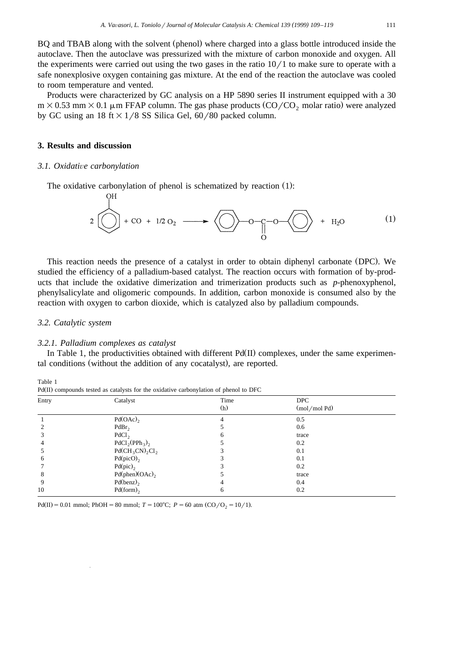BQ and TBAB along with the solvent (phenol) where charged into a glass bottle introduced inside the autoclave. Then the autoclave was pressurized with the mixture of carbon monoxide and oxygen. All the experiments were carried out using the two gases in the ratio  $10/1$  to make sure to operate with a safe nonexplosive oxygen containing gas mixture. At the end of the reaction the autoclave was cooled to room temperature and vented.

Products were characterized by GC analysis on a HP 5890 series II instrument equipped with a 30  $m \times 0.53$  mm  $\times$  0.1  $\mu$ m FFAP column. The gas phase products (CO/CO<sub>2</sub> molar ratio) were analyzed by GC using an 18 ft  $\times$  1/8 SS Silica Gel, 60/80 packed column.

# **3. Results and discussion**

#### *3.1. Oxidati*Õ*e carbonylation*

 $\overline{C}$ 

The oxidative carbonylation of phenol is schematized by reaction  $(1)$ :

$$
2 \bigodot + \text{co} + 1/2 \text{O}_2 \longrightarrow \bigodot -\text{O} - \text{O} - \text{O} \longrightarrow \bigodot + \text{H}_2\text{O} \tag{1}
$$

This reaction needs the presence of a catalyst in order to obtain diphenyl carbonate (DPC). We studied the efficiency of a palladium-based catalyst. The reaction occurs with formation of by-products that include the oxidative dimerization and trimerization products such as *p*-phenoxyphenol, phenylsalicylate and oligomeric compounds. In addition, carbon monoxide is consumed also by the reaction with oxygen to carbon dioxide, which is catalyzed also by palladium compounds.

#### *3.2. Catalytic system*

#### *3.2.1. Palladium complexes as catalyst*

In Table 1, the productivities obtained with different  $Pd(\Pi)$  complexes, under the same experimental conditions (without the addition of any cocatalyst), are reported.

| Catalyst           | Time<br>(h) | <b>DPC</b><br>$(mod$ /mol Pd)                                                         |  |
|--------------------|-------------|---------------------------------------------------------------------------------------|--|
| Pd(OAc)            | 4           | 0.5                                                                                   |  |
| PdBr <sub>2</sub>  |             | 0.6                                                                                   |  |
| PdCl <sub>2</sub>  | 6           | trace                                                                                 |  |
| $PdCl2(PPh3)2$     |             | 0.2                                                                                   |  |
| $Pd(CH_3CN)_2Cl_2$ |             | 0.1                                                                                   |  |
| $Pd(picO)$ ,       |             | 0.1                                                                                   |  |
| $Pd(pic)$ ,        |             | 0.2                                                                                   |  |
| $Pd(phen)(OAc)$ ,  |             | trace                                                                                 |  |
| $Pd(benz)$ ,       |             | 0.4                                                                                   |  |
| $Pd(from)$ ,       | 6           | 0.2                                                                                   |  |
|                    |             | Pu(II) compounds tested as catalysts for the oxidative carbonyiation of phenof to DFC |  |

Table 1  $P_{\rm d}(\mathbf{u})$  compounds tested as catalysts for the oxidative carbonal tion of phenol to  $\overline{\rm DFC}$ 

Pd(II) = 0.01 mmol; PhOH = 80 mmol;  $T = 100^{\circ}$ C;  $P = 60$  atm (CO/O<sub>2</sub> = 10/1).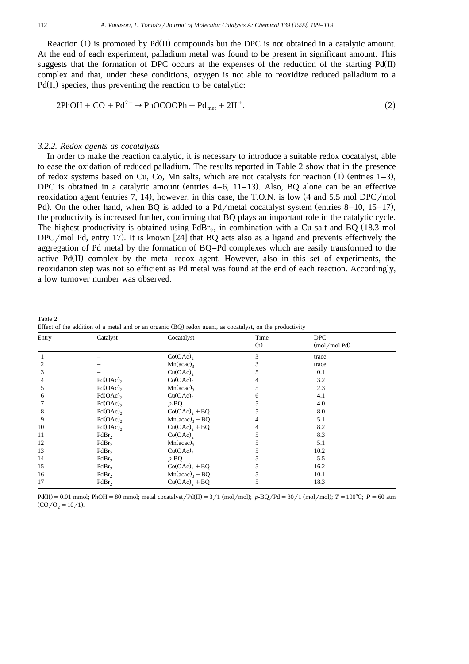Reaction (1) is promoted by Pd $(II)$  compounds but the DPC is not obtained in a catalytic amount. At the end of each experiment, palladium metal was found to be present in significant amount. This suggests that the formation of DPC occurs at the expenses of the reduction of the starting  $Pd(II)$ complex and that, under these conditions, oxygen is not able to reoxidize reduced palladium to a  $Pd(II)$  species, thus preventing the reaction to be catalytic:

$$
2PhOH + CO + Pd^{2+} \rightarrow PhOCOOPh + Pd_{met} + 2H^{+}.
$$
\n(2)

#### *3.2.2. Redox agents as cocatalysts*

In order to make the reaction catalytic, it is necessary to introduce a suitable redox cocatalyst, able to ease the oxidation of reduced palladium. The results reported in Table 2 show that in the presence of redox systems based on Cu, Co, Mn salts, which are not catalysts for reaction  $(1)$  (entries 1–3), DPC is obtained in a catalytic amount (entries  $4-6$ ,  $11-13$ ). Also, BQ alone can be an effective reoxidation agent (entries 7, 14), however, in this case, the T.O.N. is low  $(4 \text{ and } 5.5 \text{ mol }DPC/mol$ Pd). On the other hand, when BQ is added to a Pd/metal cocatalyst system (entries 8–10, 15–17), the productivity is increased further, confirming that BQ plays an important role in the catalytic cycle. The highest productivity is obtained using  $PdBr_2$ , in combination with a Cu salt and BQ (18.3 mol DPC/mol Pd, entry 17). It is known [24] that BQ acts also as a ligand and prevents effectively the aggregation of Pd metal by the formation of BQ–Pd complexes which are easily transformed to the active  $Pd(II)$  complex by the metal redox agent. However, also in this set of experiments, the reoxidation step was not so efficient as Pd metal was found at the end of each reaction. Accordingly, a low turnover number was observed.

| Entry | Catalyst               | Cocatalyst                  | Time | <b>DPC</b>      |  |
|-------|------------------------|-----------------------------|------|-----------------|--|
|       |                        |                             | (h)  | $(mod \mod Pd)$ |  |
|       |                        | Co(OAc)                     | 3    | trace           |  |
|       |                        | $Mn(acac)$ <sub>3</sub>     |      | trace           |  |
| 3     |                        | $Cu(OAc)$ ,                 |      | 0.1             |  |
|       | Pd(OAc)                | Co(OAc)                     |      | 3.2             |  |
|       | Pd(OAc)                | $Mn(acac)$ <sub>3</sub>     |      | 2.3             |  |
| 6     | Pd(OAc)                | Cu(OAc)                     | 6    | 4.1             |  |
|       | Pd(OAc)                | $p$ -BQ                     |      | 4.0             |  |
| 8     | Pd(OAc)                | $Co(OAc)$ <sub>2</sub> + BQ |      | 8.0             |  |
| 9     | $Pd(OAc)$ <sub>2</sub> | $Mn(acac)3 + BQ$            |      | 5.1             |  |
| 10    | Pd(OAc)                | $Cu(OAc)$ <sub>2</sub> + BQ |      | 8.2             |  |
| 11    | PdBr <sub>2</sub>      | Co(OAc)                     |      | 8.3             |  |
| 12    | PdBr <sub>2</sub>      | $Mn(acac)$ <sub>3</sub>     |      | 5.1             |  |
| 13    | PdBr <sub>2</sub>      | $Cu(OAc)$ ,                 |      | 10.2            |  |
| 14    | PdBr <sub>2</sub>      | $p$ -BQ                     |      | 5.5             |  |
| 15    | PdBr <sub>2</sub>      | $Co(OAc)$ <sub>2</sub> + BQ |      | 16.2            |  |
| 16    | PdBr <sub>2</sub>      | $Mn(acac)3 + BQ$            |      | 10.1            |  |
| 17    | PdBr <sub>2</sub>      | $Cu(OAc)$ <sub>2</sub> + BQ |      | 18.3            |  |

Table 2 Effect of the addition of a metal and or an organic  $(BQ)$  redox agent, as cocatalyst, on the productivity

 $Pd(II) = 0.01$  mmol;  $PhOH = 80$  mmol; metal cocatalyst  $Pd(II) = 3/1$  (mol/mol);  $p$ -BQ/Pd = 30/1 (mol/mol);  $T = 100^{\circ}$ C;  $P = 60$  atm  $(CO/O<sub>2</sub> = 10/1)$ .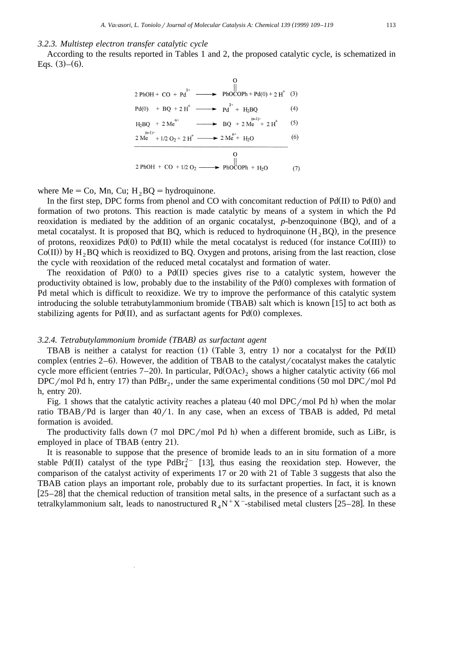#### *3.2.3. Multistep electron transfer catalytic cycle*

According to the results reported in Tables 1 and 2, the proposed catalytic cycle, is schematized in Eqs.  $(3)$ – $(6)$ .



where Me = Co, Mn, Cu;  $H_2BQ =$  hydroquinone.

In the first step, DPC forms from phenol and CO with concomitant reduction of  $Pd(II)$  to  $Pd(0)$  and formation of two protons. This reaction is made catalytic by means of a system in which the Pd reoxidation is mediated by the addition of an organic cocatalyst, *p*-benzoquinone (BQ), and of a metal cocatalyst. It is proposed that BQ, which is reduced to hydroquinone  $(H, BQ)$ , in the presence of protons, reoxidizes  $Pd(0)$  to  $Pd(II)$  while the metal cocatalyst is reduced (for instance  $Co(III)$ ) to  $Co(II)$  by  $H_2 BQ$  which is reoxidized to BQ. Oxygen and protons, arising from the last reaction, close the cycle with reoxidation of the reduced metal cocatalyst and formation of water.

The reoxidation of Pd $(0)$  to a Pd $(II)$  species gives rise to a catalytic system, however the productivity obtained is low, probably due to the instability of the  $Pd(0)$  complexes with formation of Pd metal which is difficult to reoxidize. We try to improve the performance of this catalytic system introducing the soluble tetrabutylammonium bromide (TBAB) salt which is known [15] to act both as stabilizing agents for Pd(II), and as surfactant agents for Pd(0) complexes.

#### *3.2.4. Tetrabutylammonium bromide TBAB as surfactant agent ( )*

TBAB is neither a catalyst for reaction  $(1)$  (Table 3, entry 1) nor a cocatalyst for the Pd(II) complex (entries  $2-6$ ). However, the addition of TBAB to the catalyst  $\alpha$  cocatalyst makes the catalytic cycle more efficient (entries 7–20). In particular,  $Pd(OAc)$ , shows a higher catalytic activity (66 mol DPC/mol Pd h, entry 17) than PdBr<sub>2</sub>, under the same experimental conditions (50 mol DPC/mol Pd h, entry  $20$ ).

Fig. 1 shows that the catalytic activity reaches a plateau  $(40 \text{ mol }DPC/mol \text{ Pd h})$  when the molar ratio TBAB/Pd is larger than  $40/1$ . In any case, when an excess of TBAB is added, Pd metal formation is avoided.

The productivity falls down  $(7 \text{ mol }DPC/mol \text{ Pd h})$  when a different bromide, such as LiBr, is employed in place of TBAB (entry 21).

It is reasonable to suppose that the presence of bromide leads to an in situ formation of a more stable Pd(II) catalyst of the type PdBr<sub>4</sub><sup>2-</sup> [13], thus easing the reoxidation step. However, the comparison of the catalyst activity of experiments 17 or 20 with 21 of Table 3 suggests that also the TBAB cation plays an important role, probably due to its surfactant properties. In fact, it is known  $[25–28]$  that the chemical reduction of transition metal salts, in the presence of a surfactant such as a tetralkylammonium salt, leads to nanostructured  $R_4 N^+ X^-$ -stabilised metal clusters [25–28]. In these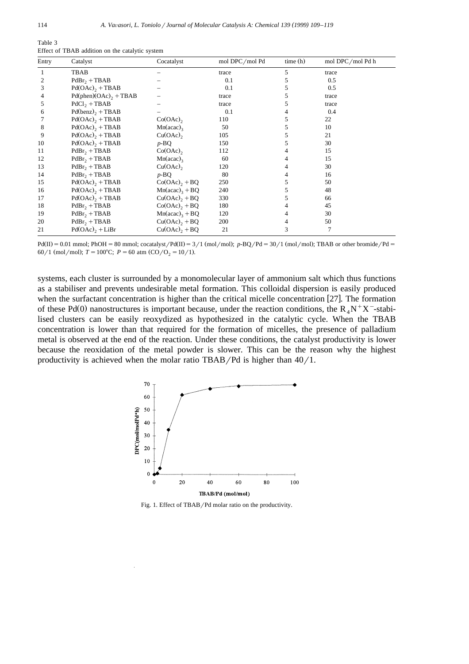| Table 3                                         |  |  |
|-------------------------------------------------|--|--|
| Effect of TBAB addition on the catalytic system |  |  |

| Entry | Catalyst                            | Cocatalyst                   | mol DPC/mol Pd | time(h) | mol DPC/mol Pd h |
|-------|-------------------------------------|------------------------------|----------------|---------|------------------|
|       | TBAB                                |                              | trace          | 5       | trace            |
| 2     | $PdBr_2 + TBAB$                     |                              | 0.1            |         | 0.5              |
| 3     | $Pd(OAc)$ <sub>2</sub> + TBAB       |                              | 0.1            |         | 0.5              |
| 4     | $Pd(phen)(OAc)$ <sub>2</sub> + TBAB |                              | trace          |         | trace            |
| 5     | $PdCl_2 + TBAB$                     |                              | trace          |         | trace            |
| 6     | $Pd(benz)$ <sub>2</sub> + TBAB      |                              | 0.1            |         | 0.4              |
|       | $Pd(OAc)$ <sub>2</sub> + TBAB       | $Co(OAc)$ ,                  | 110            |         | 22               |
| 8     | $Pd(OAc)$ <sub>2</sub> + TBAB       | $Mn(acac)$ <sub>3</sub>      | 50             |         | 10               |
| 9     | $Pd(OAc)$ <sub>2</sub> + TBAB       | $Cu(OAc)$ ,                  | 105            |         | 21               |
| 10    | $Pd(OAc)$ <sub>2</sub> + TBAB       | $p$ -BQ                      | 150            |         | 30               |
| 11    | $PdBr_2 + TBAB$                     | $Co(OAc)$ ,                  | 112            |         | 15               |
| 12    | $PdBr2 + TBAB$                      | $Mn(acac)$ <sub>3</sub>      | 60             |         | 15               |
| 13    | $PdBr_2 + TBAB$                     | $Cu(OAc)$ ,                  | 120            |         | 30               |
| 14    | $PdBr2 + TBAB$                      | $p$ -BQ                      | 80             |         | 16               |
| 15    | $Pd(OAc)$ <sub>2</sub> + TBAB       | $Co(OAc)$ <sub>2</sub> + BQ  | 250            |         | 50               |
| 16    | $Pd(OAc)$ <sub>2</sub> + TBAB       | $Mn(acac)3 + BQ$             | 240            |         | 48               |
| 17    | $Pd(OAc)$ <sub>2</sub> + TBAB       | $Cu(OAc)$ <sub>2</sub> + BQ  | 330            |         | 66               |
| 18    | $PdBr_2 + TBAB$                     | $Co(OAc)2 + BQ$              | 180            |         | 45               |
| 19    | $PdBr2 + TBAB$                      | $Mn(acac)$ <sub>3</sub> + BQ | 120            |         | 30               |
| 20    | $PdBr_2 + TBAB$                     | $Cu(OAc)$ <sub>2</sub> + BQ  | 200            |         | 50               |
| 21    | $Pd(OAc)$ <sub>2</sub> + LiBr       | $Cu(OAc)$ <sub>2</sub> + BQ  | 21             | 3       |                  |

 $Pd(II) = 0.01$  mmol; PhOH = 80 mmol; cocatalyst/ $Pd(II) = 3/1$  (mol/mol);  $p$ -BQ/Pd = 30/1 (mol/mol); TBAB or other bromide/Pd = 60/1 (mol/mol);  $T = 100^{\circ}$ C;  $P = 60$  atm (CO/O<sub>2</sub> = 10/1).

systems, each cluster is surrounded by a monomolecular layer of ammonium salt which thus functions as a stabiliser and prevents undesirable metal formation. This colloidal dispersion is easily produced when the surfactant concentration is higher than the critical micelle concentration  $[27]$ . The formation of these Pd(0) nanostructures is important because, under the reaction conditions, the R<sub>A</sub>N<sup>+</sup>X<sup>-</sup>-stabilised clusters can be easily reoxydized as hypothesized in the catalytic cycle. When the TBAB concentration is lower than that required for the formation of micelles, the presence of palladium metal is observed at the end of the reaction. Under these conditions, the catalyst productivity is lower because the reoxidation of the metal powder is slower. This can be the reason why the highest productivity is achieved when the molar ratio TBAB/Pd is higher than  $40/1$ .



Fig. 1. Effect of TBAB/Pd molar ratio on the productivity.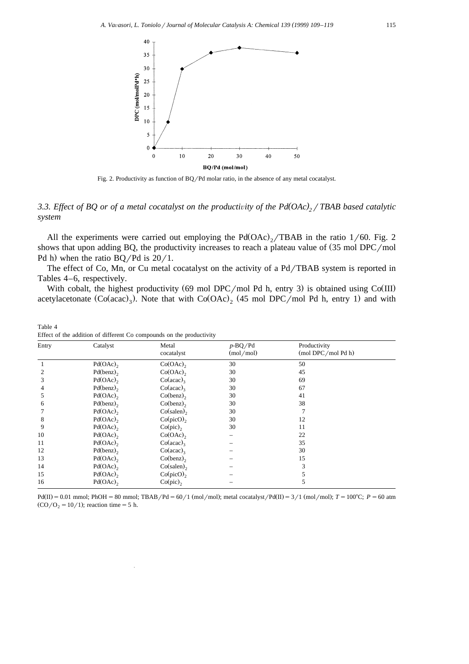

Fig. 2. Productivity as function of BQ/Pd molar ratio, in the absence of any metal cocatalyst.

# *3.3. Effect of BQ or of a metal cocatalyst on the productivity of the Pd(OAc)<sub>2</sub> / TBAB based catalytic system*

All the experiments were carried out employing the  $Pd(OAc)_{2}/TBAB$  in the ratio 1/60. Fig. 2 shows that upon adding BQ, the productivity increases to reach a plateau value of  $(35 \text{ mol }DPC/mol)$ Pd h) when the ratio  $BQ/Pd$  is  $20/1$ .

The effect of Co, Mn, or Cu metal cocatalyst on the activity of a  $Pd/TBAB$  system is reported in Tables 4–6, respectively.

With cobalt, the highest productivity (69 mol DPC/mol Pd h, entry 3) is obtained using  $Co(III)$ acetylacetonate  $(Co (acac)_3)$ . Note that with  $Co (OAc)_2$  (45 mol DPC/mol Pd h, entry 1) and with

Table 4 Effect of the addition of different Co compounds on the productivity

| Entry | Catalyst                | Metal<br>cocatalyst | $p$ -BQ/Pd<br>(mod/mol) | Productivity<br>(mol DPC/mol Pd h) |  |
|-------|-------------------------|---------------------|-------------------------|------------------------------------|--|
|       | $Pd(OAc)$ <sub>2</sub>  | $Co(OAc)$ ,         | 30                      | 50                                 |  |
|       | $Pd(benz)$ <sub>2</sub> | Co(OAc)             | 30                      | 45                                 |  |
| 3     | Pd(OAc)                 | $Co(\text{acac})_3$ | 30                      | 69                                 |  |
| 4     | $Pd(benz)$ <sub>2</sub> | $Co(\text{acac})_3$ | 30                      | 67                                 |  |
| 5     | Pd(OAc)                 | $Co(benz)$ ,        | 30                      | 41                                 |  |
| 6     | Pd(benz)                | Co(benz)            | 30                      | 38                                 |  |
|       | Pd(OAc)                 | $Co(salen)$ ,       | 30                      |                                    |  |
| 8     | Pd(OAc)                 | Co(picO),           | 30                      | 12                                 |  |
| 9     | Pd(OAc)                 | Co(pic)             | 30                      | 11                                 |  |
| 10    | Pd(OAc)                 | $Co(OAc)$ ,         | —                       | 22                                 |  |
| 11    | Pd(OAc)                 | $Co(\text{acac})_3$ |                         | 35                                 |  |
| 12    | $Pd(benz)$ <sub>2</sub> | $Co(\text{acac})_3$ |                         | 30                                 |  |
| 13    | Pd(OAc)                 | Co(benz)            |                         | 15                                 |  |
| 14    | Pd(OAc)                 | $Co(salen)$ ,       |                         | 3                                  |  |
| 15    | Pd(OAc)                 | $Co(picO)$ ,        |                         | 5                                  |  |
| 16    | Pd(OAc)                 | Co(pic)             |                         | 5                                  |  |

 $Pd(II) = 0.01$  mmol;  $PhOH = 80$  mmol;  $TBAB/Pd = 60/1$  (mol/mol); metal cocatalyst/ $Pd(II) = 3/1$  (mol/mol);  $T = 100^{\circ}$ C;  $P = 60$  atm  $(CO/O<sub>2</sub> = 10/1);$  reaction time = 5 h.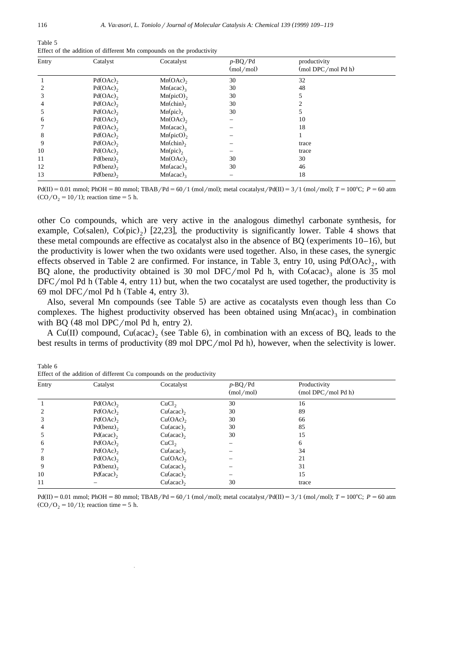| Table 5                                                              |  |  |
|----------------------------------------------------------------------|--|--|
| Effect of the addition of different Mn compounds on the productivity |  |  |

| Entry | Catalyst                | Cocatalyst              | $p$ -BQ/Pd<br>(mod/mol) | productivity<br>(mol DPC/mol Pd h) |  |
|-------|-------------------------|-------------------------|-------------------------|------------------------------------|--|
|       | Pd(OAc)                 | Mn(OAc)                 | 30                      | 32                                 |  |
|       | $Pd(OAc)$ ,             | $Mn(acac)$ <sub>3</sub> | 30                      | 48                                 |  |
|       | Pd(OAc)                 | $Mn(picO)$ <sub>2</sub> | 30                      |                                    |  |
| 4     | $Pd(OAc)$ <sub>2</sub>  | $Mn$ (chin),            | 30                      |                                    |  |
|       | Pd(OAc)                 | $Mn(pic)$ ,             | 30                      |                                    |  |
| 6     | $Pd(OAc)$ ,             | Mn(OAc)                 |                         | 10                                 |  |
|       | Pd(OAc)                 | $Mn(acac)$ <sub>3</sub> |                         | 18                                 |  |
| 8     | Pd(OAc)                 | $Mn(picO)$ <sub>2</sub> |                         |                                    |  |
| 9     | Pd(OAc)                 | $Mn$ (chin),            |                         | trace                              |  |
| 10    | Pd(OAc)                 | $Mn(pic)$ ,             |                         | trace                              |  |
| 11    | $Pd(benz)$ <sub>2</sub> | Mn(OAc)                 | 30                      | 30                                 |  |
| 12    | Pd(benz)                | $Mn(acac)$ <sub>3</sub> | 30                      | 46                                 |  |
| 13    | Pd(benz)                | $Mn(acac)$ ,            |                         | 18                                 |  |

 $Pd(II) = 0.01$  mmol;  $PhOH = 80$  mmol;  $TBAB/Pd = 60/1$  (mol/mol); metal cocatalyst/ $Pd(II) = 3/1$  (mol/mol);  $T = 100^{\circ}$ C;  $P = 60$  atm  $(CO/O<sub>2</sub> = 10/1)$ ; reaction time = 5 h.

other Co compounds, which are very active in the analogous dimethyl carbonate synthesis, for example,  $Co(salen)$ ,  $Co(pic)$ ,  $[22,23]$ , the productivity is significantly lower. Table 4 shows that these metal compounds are effective as cocatalyst also in the absence of BQ (experiments  $10-16$ ), but the productivity is lower when the two oxidants were used together. Also, in these cases, the synergic effects observed in Table 2 are confirmed. For instance, in Table 3, entry 10, using  $Pd(OAc)$ , with BQ alone, the productivity obtained is 30 mol DFC/mol Pd h, with  $Co(acac)$  alone is 35 mol  $\rm{DFC/mol}$  Pd h (Table 4, entry 11) but, when the two cocatalyst are used together, the productivity is 69 mol DFC/mol Pd h (Table 4, entry 3).

Also, several Mn compounds (see Table 5) are active as cocatalysts even though less than Co complexes. The highest productivity observed has been obtained using  $Mn (acac)$ <sub>3</sub> in combination with BQ  $(48 \text{ mol }DPC/mol$  Pd h, entry 2).

A Cu(II) compound, Cu(acac), (see Table 6), in combination with an excess of BQ, leads to the best results in terms of productivity  $(89 \text{ mol }DPC/mol \text{ Pd h})$ , however, when the selectivity is lower.

| Entry | Catalyst               | Cocatalyst        | $p$ -BQ/Pd<br>(mod/mol) | Productivity<br>(mod DPC/molPdh) |  |
|-------|------------------------|-------------------|-------------------------|----------------------------------|--|
|       | Pd(OAc)                | CuCl <sub>2</sub> | 30                      | 16                               |  |
|       | Pd(OAc)                | $Cu (acac)$ ,     | 30                      | 89                               |  |
|       | $Pd(OAc)$ <sub>2</sub> | $Cu(OAc)$ ,       | 30                      | 66                               |  |
| 4     | Pd(benz)               | $Cu (acac)$ ,     | 30                      | 85                               |  |
|       | $Pd(acac)$ ,           | $Cu (acac)$ ,     | 30                      | 15                               |  |
| 6     | Pd(OAc)                | CuCl <sub>2</sub> |                         | 6                                |  |
|       | Pd(OAc)                | $Cu (acac)$ ,     |                         | 34                               |  |
| 8     | $Pd(OAc)$ <sub>2</sub> | $Cu(OAc)$ ,       |                         | 21                               |  |
| 9     | Pd(benz)               | $Cu (acac)$ ,     |                         | 31                               |  |
| 10    | $Pd(acac)$ ,           | $Cu (acac)$ ,     |                         | 15                               |  |
| 11    |                        | $Cu (acac)$ ,     | 30                      | trace                            |  |

Effect of the addition of different Cu compounds on the productivity

 $Pd(II) = 0.01$  mmol;  $PhOH = 80$  mmol;  $TBAB/Pd = 60/1$  (mol/mol); metal cocatalyst/ $Pd(II) = 3/1$  (mol/mol);  $T = 100^{\circ}C$ ;  $P = 60$  atm  $(CO/O<sub>2</sub> = 10/1)$ ; reaction time = 5 h.

Table 6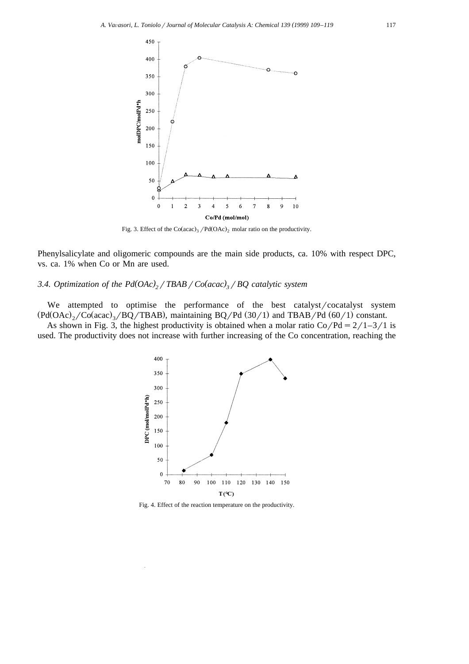

Fig. 3. Effect of the  $Co (acac)_3 / Pd (OAc)_2$  molar ratio on the productivity.

Phenylsalicylate and oligomeric compounds are the main side products, ca. 10% with respect DPC, vs. ca. 1% when Co or Mn are used.

# *3.4. Optimization of the Pd(OAc)* $\frac{1}{2}$ / *TBAB*/ $\frac{C_0}{acac}$  $\frac{1}{2}$ / $\frac{BQ}{ac}$  *catalytic system*

We attempted to optimise the performance of the best catalyst/cocatalyst system  $P(d(OAc))$ ,  $\langle Co (acac)$ ,  $\langle BQ/TBAB \rangle$ , maintaining BQ/Pd  $(30/1)$  and TBAB/Pd  $(60/1)$  constant.

As shown in Fig. 3, the highest productivity is obtained when a molar ratio Co/Pd =  $2/1-3/1$  is used. The productivity does not increase with further increasing of the Co concentration, reaching the



Fig. 4. Effect of the reaction temperature on the productivity.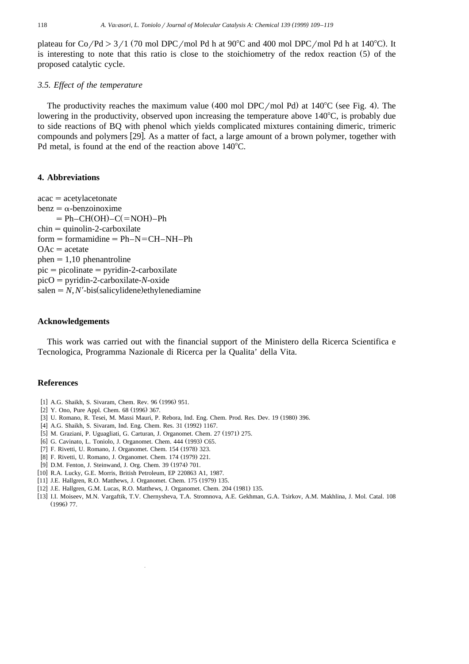plateau for Co/Pd  $>3/1$  (70 mol DPC/mol Pd h at 90°C and 400 mol DPC/mol Pd h at 140°C). It is interesting to note that this ratio is close to the stoichiometry of the redox reaction  $(5)$  of the proposed catalytic cycle.

# *3.5. Effect of the temperature*

The productivity reaches the maximum value  $(400 \text{ mol }DPC/mol \text{ Pd})$  at  $140^{\circ}C$  (see Fig. 4). The lowering in the productivity, observed upon increasing the temperature above  $140^{\circ}$ C, is probably due to side reactions of BQ with phenol which yields complicated mixtures containing dimeric, trimeric compounds and polymers  $[29]$ . As a matter of fact, a large amount of a brown polymer, together with Pd metal, is found at the end of the reaction above  $140^{\circ}$ C.

#### **4. Abbreviations**

 $acac = acetylacetonate$  $benz = \alpha$ -benzoinoxime  $= Ph-CH(OH) - C (= NOH) - Ph$  $chin =$ quinolin-2-carboxilate  $form = form$  formamidine =  $Ph-N=CH-NH-Ph$  $OAc = acetate$ phen $=1,10$  phenantroline  $pic = picolinate = pyridin-2-carboxilate$  $picO = pyridin-2-carboxilate-*N*-oxide  
salen = *N*,*N'*-bis (salicylidene)ethylenediamine$ 

#### **Acknowledgements**

This work was carried out with the financial support of the Ministero della Ricerca Scientifica e Tecnologica, Programma Nazionale di Ricerca per la Qualita' della Vita.

## **References**

- [1] A.G. Shaikh, S. Sivaram, Chem. Rev. 96 (1996) 951.
- [2] Y. Ono, Pure Appl. Chem. 68 (1996) 367.
- 3] U. Romano, R. Tesei, M. Massi Mauri, P. Rebora, Ind. Eng. Chem. Prod. Res. Dev. 19 (1980) 396.
- [4] A.G. Shaikh, S. Sivaram, Ind. Eng. Chem. Res. 31 (1992) 1167.
- 7 5] M. Graziani, P. Uguagliati, G. Carturan, J. Organomet. Chem. 27 (1971) 275.
- [6] G. Cavinato, L. Toniolo, J. Organomet. Chem. 444 (1993) C65.
- [7] F. Rivetti, U. Romano, J. Organomet. Chem. 154 (1978) 323.
- [8] F. Rivetti, U. Romano, J. Organomet. Chem. 174 (1979) 221.
- [9] D.M. Fenton, J. Steinwand, J. Org. Chem. 39 (1974) 701.
- [10] R.A. Lucky, G.E. Morris, British Petroleum, EP 220863 A1, 1987.
- [11] J.E. Hallgren, R.O. Matthews, J. Organomet. Chem. 175 (1979) 135.
- [12] J.E. Hallgren, G.M. Lucas, R.O. Matthews, J. Organomet. Chem. 204 (1981) 135.
- w x 13] I.I. Moiseev, M.N. Vargaftik, T.V. Chernysheva, T.A. Stromnova, A.E. Gekhman, G.A. Tsirkov, A.M. Makhlina, J. Mol. Catal. 108  $(1996)$  77.